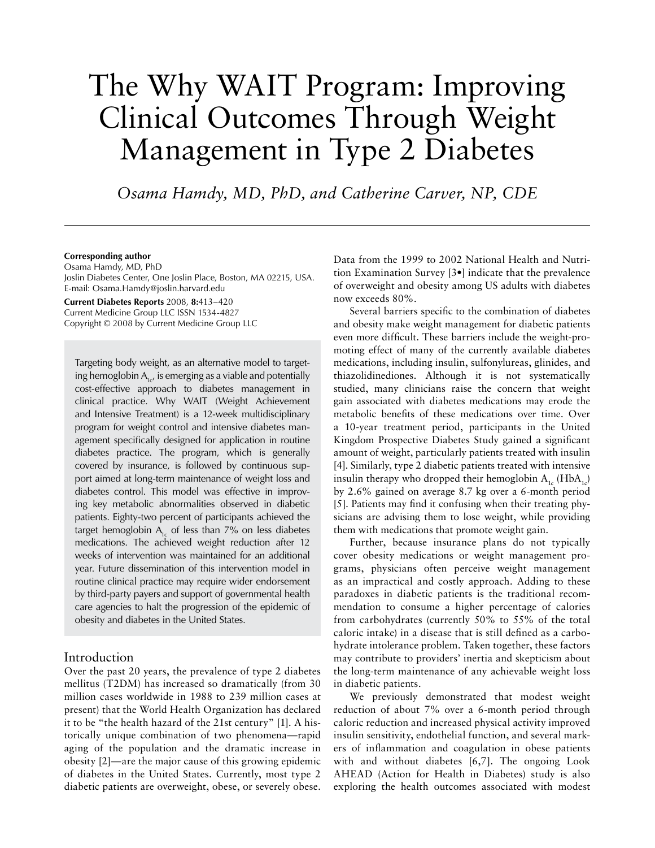# The Why WAIT Program: Improving Clinical Outcomes Through Weight Management in Type 2 Diabetes

*Osama Hamdy, MD, PhD, and Catherine Carver, NP, CDE*

#### **Corresponding author**

Osama Hamdy, MD, PhD Joslin Diabetes Center, One Joslin Place, Boston, MA 02215, USA. E-mail: Osama.Hamdy@joslin.harvard.edu

**Current Diabetes Reports** 2008, **8:**413–420 Current Medicine Group LLC ISSN 1534-4827 Copyright © 2008 by Current Medicine Group LLC

Targeting body weight, as an alternative model to targeting hemoglobin  $A_{1c}$ , is emerging as a viable and potentially cost-effective approach to diabetes management in clinical practice. Why WAIT (Weight Achievement and Intensive Treatment) is a 12-week multidisciplinary program for weight control and intensive diabetes management specifically designed for application in routine diabetes practice. The program, which is generally covered by insurance, is followed by continuous support aimed at long-term maintenance of weight loss and diabetes control. This model was effective in improving key metabolic abnormalities observed in diabetic patients. Eighty-two percent of participants achieved the target hemoglobin  $A<sub>1c</sub>$  of less than 7% on less diabetes medications. The achieved weight reduction after 12 weeks of intervention was maintained for an additional year. Future dissemination of this intervention model in routine clinical practice may require wider endorsement by third-party payers and support of governmental health care agencies to halt the progression of the epidemic of obesity and diabetes in the United States.

## Introduction

Over the past 20 years, the prevalence of type 2 diabetes mellitus (T2DM) has increased so dramatically (from 30 million cases worldwide in 1988 to 239 million cases at present) that the World Health Organization has declared it to be "the health hazard of the 21st century" [1]. A historically unique combination of two phenomena—rapid aging of the population and the dramatic increase in obesity [2]—are the major cause of this growing epidemic of diabetes in the United States. Currently, most type 2 diabetic patients are overweight, obese, or severely obese.

Data from the 1999 to 2002 National Health and Nutrition Examination Survey [3•] indicate that the prevalence of overweight and obesity among US adults with diabetes now exceeds 80%.

Several barriers specific to the combination of diabetes and obesity make weight management for diabetic patients even more difficult. These barriers include the weight-promoting effect of many of the currently available diabetes medications, including insulin, sulfonylureas, glinides, and thiazolidinediones. Although it is not systematically studied, many clinicians raise the concern that weight gain associated with diabetes medications may erode the metabolic benefits of these medications over time. Over a 10-year treatment period, participants in the United Kingdom Prospective Diabetes Study gained a significant amount of weight, particularly patients treated with insulin [4]. Similarly, type 2 diabetic patients treated with intensive insulin therapy who dropped their hemoglobin  $A_{1c}$  (Hb $A_{1c}$ ) by 2.6% gained on average 8.7 kg over a 6-month period [5]. Patients may find it confusing when their treating physicians are advising them to lose weight, while providing them with medications that promote weight gain.

Further, because insurance plans do not typically cover obesity medications or weight management programs, physicians often perceive weight management as an impractical and costly approach. Adding to these paradoxes in diabetic patients is the traditional recommendation to consume a higher percentage of calories from carbohydrates (currently 50% to 55% of the total caloric intake) in a disease that is still defined as a carbohydrate intolerance problem. Taken together, these factors may contribute to providers' inertia and skepticism about the long-term maintenance of any achievable weight loss in diabetic patients.

We previously demonstrated that modest weight reduction of about 7% over a 6-month period through caloric reduction and increased physical activity improved insulin sensitivity, endothelial function, and several markers of inflammation and coagulation in obese patients with and without diabetes [6,7]. The ongoing Look AHEAD (Action for Health in Diabetes) study is also exploring the health outcomes associated with modest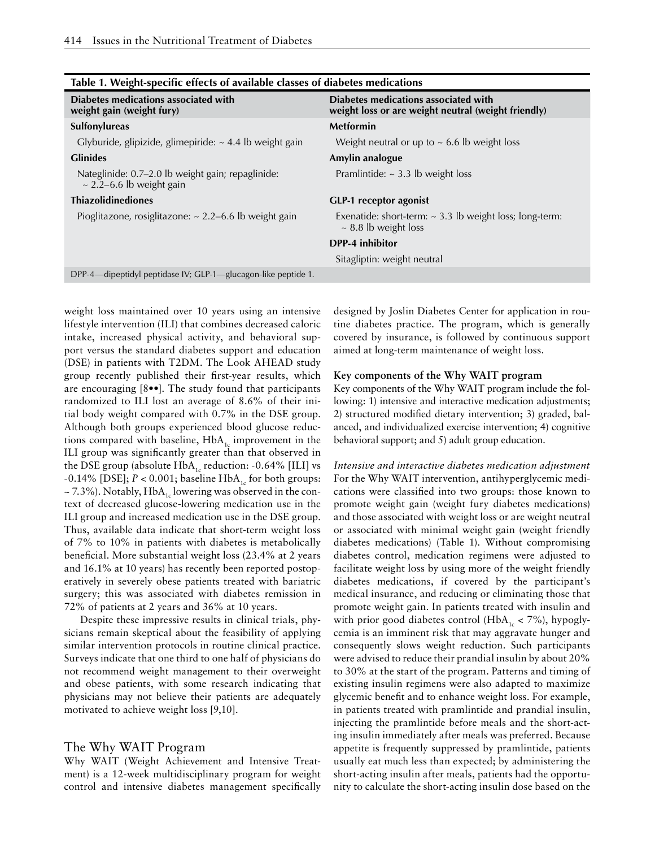| Table 1. Weight-specific effects of available classes of ulabeles incurcations     |                                                                                             |  |  |
|------------------------------------------------------------------------------------|---------------------------------------------------------------------------------------------|--|--|
| Diabetes medications associated with<br>weight gain (weight fury)                  | Diabetes medications associated with<br>weight loss or are weight neutral (weight friendly) |  |  |
| Sulfonylureas                                                                      | <b>Metformin</b>                                                                            |  |  |
| Glyburide, glipizide, glimepiride: $\sim$ 4.4 lb weight gain                       | Weight neutral or up to $\sim$ 6.6 lb weight loss                                           |  |  |
| <b>Glinides</b>                                                                    | Amylin analogue                                                                             |  |  |
| Nateglinide: 0.7-2.0 lb weight gain; repaglinide:<br>$\sim$ 2.2-6.6 lb weight gain | Pramlintide: $\sim$ 3.3 lb weight loss                                                      |  |  |
| <b>Thiazolidinediones</b>                                                          | <b>GLP-1</b> receptor agonist                                                               |  |  |
| Pioglitazone, rosiglitazone: $\sim$ 2.2–6.6 lb weight gain                         | Exenatide: short-term: $\sim$ 3.3 lb weight loss; long-term:<br>$\sim$ 8.8 lb weight loss   |  |  |
|                                                                                    | DPP-4 inhibitor                                                                             |  |  |
|                                                                                    | Sitagliptin: weight neutral                                                                 |  |  |
| DPP-4—dipeptidyl peptidase IV; GLP-1—glucagon-like peptide 1.                      |                                                                                             |  |  |
|                                                                                    |                                                                                             |  |  |

# **Table 1. Weight-specific effects of available classes of diabetes medications**

weight loss maintained over 10 years using an intensive lifestyle intervention (ILI) that combines decreased caloric intake, increased physical activity, and behavioral support versus the standard diabetes support and education (DSE) in patients with T2DM. The Look AHEAD study group recently published their first-year results, which are encouraging [8••]. The study found that participants randomized to ILI lost an average of 8.6% of their initial body weight compared with 0.7% in the DSE group. Although both groups experienced blood glucose reductions compared with baseline,  $HbA_{1c}$  improvement in the ILI group was significantly greater than that observed in the DSE group (absolute  $HbA_{1c}$  reduction: -0.64% [ILI] vs  $-0.14\%$  [DSE];  $P < 0.001$ ; baseline HbA<sub>1c</sub> for both groups:  $\sim$  7.3%). Notably, HbA<sub>1c</sub> lowering was observed in the context of decreased glucose-lowering medication use in the ILI group and increased medication use in the DSE group. Thus, available data indicate that short-term weight loss of 7% to 10% in patients with diabetes is metabolically beneficial. More substantial weight loss (23.4% at 2 years and 16.1% at 10 years) has recently been reported postoperatively in severely obese patients treated with bariatric surgery; this was associated with diabetes remission in 72% of patients at 2 years and 36% at 10 years.

Despite these impressive results in clinical trials, physicians remain skeptical about the feasibility of applying similar intervention protocols in routine clinical practice. Surveys indicate that one third to one half of physicians do not recommend weight management to their overweight and obese patients, with some research indicating that physicians may not believe their patients are adequately motivated to achieve weight loss [9,10].

## The Why WAIT Program

Why WAIT (Weight Achievement and Intensive Treatment) is a 12-week multidisciplinary program for weight control and intensive diabetes management specifically

designed by Joslin Diabetes Center for application in routine diabetes practice. The program, which is generally covered by insurance, is followed by continuous support aimed at long-term maintenance of weight loss.

#### **Key components of the Why WAIT program**

Key components of the Why WAIT program include the following: 1) intensive and interactive medication adjustments; 2) structured modified dietary intervention; 3) graded, balanced, and individualized exercise intervention; 4) cognitive behavioral support; and 5) adult group education.

*Intensive and interactive diabetes medication adjustment* For the Why WAIT intervention, antihyperglycemic medications were classified into two groups: those known to promote weight gain (weight fury diabetes medications) and those associated with weight loss or are weight neutral or associated with minimal weight gain (weight friendly diabetes medications) (Table 1). Without compromising diabetes control, medication regimens were adjusted to facilitate weight loss by using more of the weight friendly diabetes medications, if covered by the participant's medical insurance, and reducing or eliminating those that promote weight gain. In patients treated with insulin and with prior good diabetes control (HbA<sub>1c</sub> < 7%), hypoglycemia is an imminent risk that may aggravate hunger and consequently slows weight reduction. Such participants were advised to reduce their prandial insulin by about 20% to 30% at the start of the program. Patterns and timing of existing insulin regimens were also adapted to maximize glycemic benefit and to enhance weight loss. For example, in patients treated with pramlintide and prandial insulin, injecting the pramlintide before meals and the short-acting insulin immediately after meals was preferred. Because appetite is frequently suppressed by pramlintide, patients usually eat much less than expected; by administering the short-acting insulin after meals, patients had the opportunity to calculate the short-acting insulin dose based on the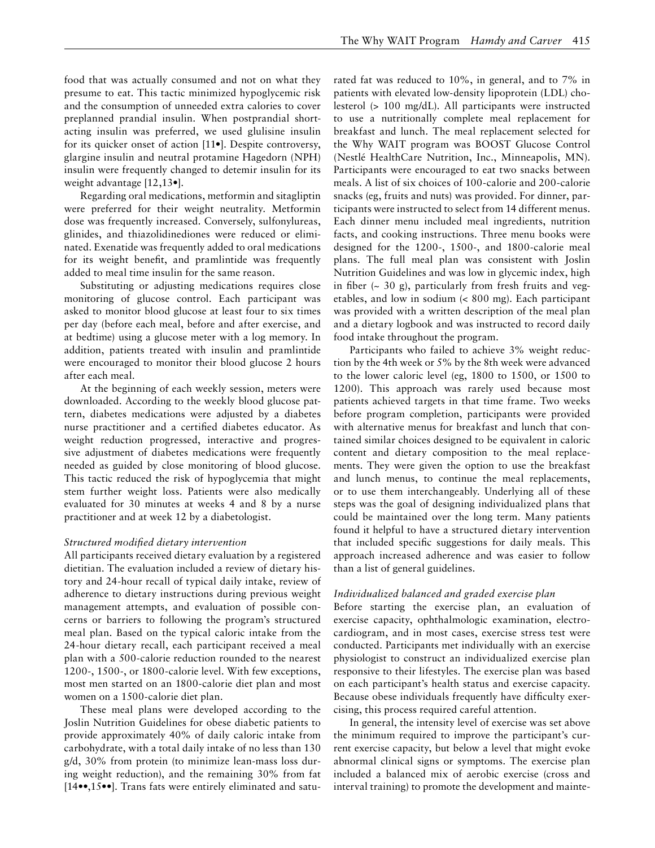food that was actually consumed and not on what they presume to eat. This tactic minimized hypoglycemic risk and the consumption of unneeded extra calories to cover preplanned prandial insulin. When postprandial shortacting insulin was preferred, we used glulisine insulin for its quicker onset of action [11•]. Despite controversy, glargine insulin and neutral protamine Hagedorn (NPH) insulin were frequently changed to detemir insulin for its weight advantage [12,13•].

Regarding oral medications, metformin and sitagliptin were preferred for their weight neutrality. Metformin dose was frequently increased. Conversely, sulfonylureas, glinides, and thiazolidinediones were reduced or eliminated. Exenatide was frequently added to oral medications for its weight benefit, and pramlintide was frequently added to meal time insulin for the same reason.

Substituting or adjusting medications requires close monitoring of glucose control. Each participant was asked to monitor blood glucose at least four to six times per day (before each meal, before and after exercise, and at bedtime) using a glucose meter with a log memory. In addition, patients treated with insulin and pramlintide were encouraged to monitor their blood glucose 2 hours after each meal.

At the beginning of each weekly session, meters were downloaded. According to the weekly blood glucose pattern, diabetes medications were adjusted by a diabetes nurse practitioner and a certified diabetes educator. As weight reduction progressed, interactive and progressive adjustment of diabetes medications were frequently needed as guided by close monitoring of blood glucose. This tactic reduced the risk of hypoglycemia that might stem further weight loss. Patients were also medically evaluated for 30 minutes at weeks 4 and 8 by a nurse practitioner and at week 12 by a diabetologist.

#### *Structured modified dietary intervention*

All participants received dietary evaluation by a registered dietitian. The evaluation included a review of dietary history and 24-hour recall of typical daily intake, review of adherence to dietary instructions during previous weight management attempts, and evaluation of possible concerns or barriers to following the program's structured meal plan. Based on the typical caloric intake from the 24-hour dietary recall, each participant received a meal plan with a 500-calorie reduction rounded to the nearest 1200-, 1500-, or 1800-calorie level. With few exceptions, most men started on an 1800-calorie diet plan and most women on a 1500-calorie diet plan.

These meal plans were developed according to the Joslin Nutrition Guidelines for obese diabetic patients to provide approximately 40% of daily caloric intake from carbohydrate, with a total daily intake of no less than 130 g/d, 30% from protein (to minimize lean-mass loss during weight reduction), and the remaining 30% from fat [14••,15••]. Trans fats were entirely eliminated and saturated fat was reduced to 10%, in general, and to 7% in patients with elevated low-density lipoprotein (LDL) cholesterol (> 100 mg/dL). All participants were instructed to use a nutritionally complete meal replacement for breakfast and lunch. The meal replacement selected for the Why WAIT program was BOOST Glucose Control (Nestlé HealthCare Nutrition, Inc., Minneapolis, MN). Participants were encouraged to eat two snacks between meals. A list of six choices of 100-calorie and 200-calorie snacks (eg, fruits and nuts) was provided. For dinner, participants were instructed to select from 14 different menus. Each dinner menu included meal ingredients, nutrition facts, and cooking instructions. Three menu books were designed for the 1200-, 1500-, and 1800-calorie meal plans. The full meal plan was consistent with Joslin Nutrition Guidelines and was low in glycemic index, high in fiber  $(\sim 30 \text{ g})$ , particularly from fresh fruits and vegetables, and low in sodium (< 800 mg). Each participant was provided with a written description of the meal plan and a dietary logbook and was instructed to record daily food intake throughout the program.

Participants who failed to achieve 3% weight reduction by the 4th week or 5% by the 8th week were advanced to the lower caloric level (eg, 1800 to 1500, or 1500 to 1200). This approach was rarely used because most patients achieved targets in that time frame. Two weeks before program completion, participants were provided with alternative menus for breakfast and lunch that contained similar choices designed to be equivalent in caloric content and dietary composition to the meal replacements. They were given the option to use the breakfast and lunch menus, to continue the meal replacements, or to use them interchangeably. Underlying all of these steps was the goal of designing individualized plans that could be maintained over the long term. Many patients found it helpful to have a structured dietary intervention that included specific suggestions for daily meals. This approach increased adherence and was easier to follow than a list of general guidelines.

#### *Individualized balanced and graded exercise plan*

Before starting the exercise plan, an evaluation of exercise capacity, ophthalmologic examination, electrocardiogram, and in most cases, exercise stress test were conducted. Participants met individually with an exercise physiologist to construct an individualized exercise plan responsive to their lifestyles. The exercise plan was based on each participant's health status and exercise capacity. Because obese individuals frequently have difficulty exercising, this process required careful attention.

In general, the intensity level of exercise was set above the minimum required to improve the participant's current exercise capacity, but below a level that might evoke abnormal clinical signs or symptoms. The exercise plan included a balanced mix of aerobic exercise (cross and interval training) to promote the development and mainte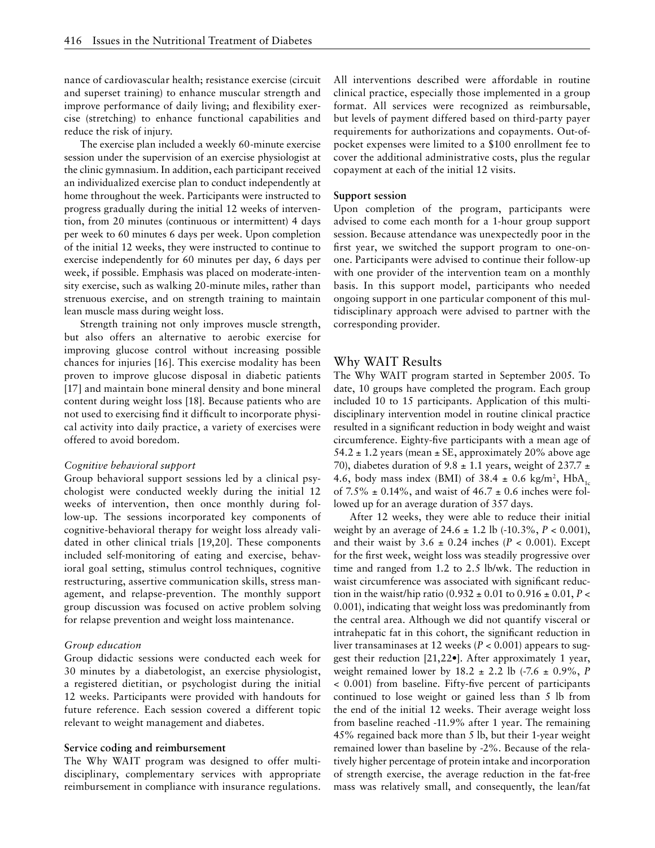nance of cardiovascular health; resistance exercise (circuit and superset training) to enhance muscular strength and improve performance of daily living; and flexibility exercise (stretching) to enhance functional capabilities and reduce the risk of injury.

The exercise plan included a weekly 60-minute exercise session under the supervision of an exercise physiologist at the clinic gymnasium. In addition, each participant received an individualized exercise plan to conduct independently at home throughout the week. Participants were instructed to progress gradually during the initial 12 weeks of intervention, from 20 minutes (continuous or intermittent) 4 days per week to 60 minutes 6 days per week. Upon completion of the initial 12 weeks, they were instructed to continue to exercise independently for 60 minutes per day, 6 days per week, if possible. Emphasis was placed on moderate-intensity exercise, such as walking 20-minute miles, rather than strenuous exercise, and on strength training to maintain lean muscle mass during weight loss.

Strength training not only improves muscle strength, but also offers an alternative to aerobic exercise for improving glucose control without increasing possible chances for injuries [16]. This exercise modality has been proven to improve glucose disposal in diabetic patients [17] and maintain bone mineral density and bone mineral content during weight loss [18]. Because patients who are not used to exercising find it difficult to incorporate physical activity into daily practice, a variety of exercises were offered to avoid boredom.

#### *Cognitive behavioral support*

Group behavioral support sessions led by a clinical psychologist were conducted weekly during the initial 12 weeks of intervention, then once monthly during follow-up. The sessions incorporated key components of cognitive-behavioral therapy for weight loss already validated in other clinical trials [19,20]. These components included self-monitoring of eating and exercise, behavioral goal setting, stimulus control techniques, cognitive restructuring, assertive communication skills, stress management, and relapse-prevention. The monthly support group discussion was focused on active problem solving for relapse prevention and weight loss maintenance.

#### *Group education*

Group didactic sessions were conducted each week for 30 minutes by a diabetologist, an exercise physiologist, a registered dietitian, or psychologist during the initial 12 weeks. Participants were provided with handouts for future reference. Each session covered a different topic relevant to weight management and diabetes.

#### **Service coding and reimbursement**

The Why WAIT program was designed to offer multidisciplinary, complementary services with appropriate reimbursement in compliance with insurance regulations. All interventions described were affordable in routine clinical practice, especially those implemented in a group format. All services were recognized as reimbursable, but levels of payment differed based on third-party payer requirements for authorizations and copayments. Out-ofpocket expenses were limited to a \$100 enrollment fee to cover the additional administrative costs, plus the regular copayment at each of the initial 12 visits.

#### **Support session**

Upon completion of the program, participants were advised to come each month for a 1-hour group support session. Because attendance was unexpectedly poor in the first year, we switched the support program to one-onone. Participants were advised to continue their follow-up with one provider of the intervention team on a monthly basis. In this support model, participants who needed ongoing support in one particular component of this multidisciplinary approach were advised to partner with the corresponding provider.

## Why WAIT Results

The Why WAIT program started in September 2005. To date, 10 groups have completed the program. Each group included 10 to 15 participants. Application of this multidisciplinary intervention model in routine clinical practice resulted in a significant reduction in body weight and waist circumference. Eighty-five participants with a mean age of 54.2  $\pm$  1.2 years (mean  $\pm$  SE, approximately 20% above age 70), diabetes duration of 9.8  $\pm$  1.1 years, weight of 237.7  $\pm$ 4.6, body mass index (BMI) of 38.4  $\pm$  0.6 kg/m<sup>2</sup>, HbA<sub>1c</sub> of  $7.5\% \pm 0.14\%$ , and waist of  $46.7 \pm 0.6$  inches were followed up for an average duration of 357 days.

After 12 weeks, they were able to reduce their initial weight by an average of 24.6 ± 1.2 lb (-10.3%, *P* < 0.001), and their waist by  $3.6 \pm 0.24$  inches ( $P < 0.001$ ). Except for the first week, weight loss was steadily progressive over time and ranged from 1.2 to 2.5 lb/wk. The reduction in waist circumference was associated with significant reduction in the waist/hip ratio  $(0.932 \pm 0.01 \text{ to } 0.916 \pm 0.01, P <$ 0.001), indicating that weight loss was predominantly from the central area. Although we did not quantify visceral or intrahepatic fat in this cohort, the significant reduction in liver transaminases at 12 weeks (*P* < 0.001) appears to suggest their reduction [21,22•]. After approximately 1 year, weight remained lower by 18.2 ± 2.2 lb (-7.6 ± 0.9%, *P* < 0.001) from baseline. Fifty-five percent of participants continued to lose weight or gained less than 5 lb from the end of the initial 12 weeks. Their average weight loss from baseline reached -11.9% after 1 year. The remaining 45% regained back more than 5 lb, but their 1-year weight remained lower than baseline by -2%. Because of the relatively higher percentage of protein intake and incorporation of strength exercise, the average reduction in the fat-free mass was relatively small, and consequently, the lean/fat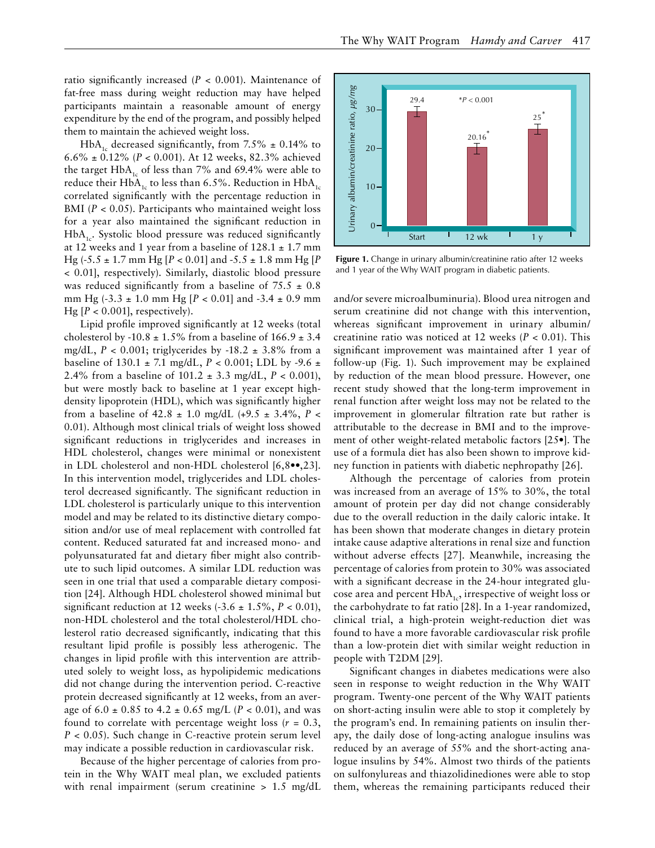ratio significantly increased (*P* < 0.001). Maintenance of fat-free mass during weight reduction may have helped participants maintain a reasonable amount of energy expenditure by the end of the program, and possibly helped them to maintain the achieved weight loss.

 $HbA<sub>1c</sub>$  decreased significantly, from 7.5%  $\pm$  0.14% to 6.6% ± 0.12% (*P* < 0.001). At 12 weeks, 82.3% achieved the target  $HbA_{1c}$  of less than 7% and 69.4% were able to reduce their HbA<sub>1c</sub> to less than 6.5%. Reduction in HbA<sub>1c</sub> correlated significantly with the percentage reduction in BMI (*P* < 0.05). Participants who maintained weight loss for a year also maintained the significant reduction in  $HbA_{1c}$ . Systolic blood pressure was reduced significantly at 12 weeks and 1 year from a baseline of  $128.1 \pm 1.7$  mm Hg (-5.5 ± 1.7 mm Hg [*P* < 0.01] and -5.5 ± 1.8 mm Hg [*P* < 0.01], respectively). Similarly, diastolic blood pressure was reduced significantly from a baseline of  $75.5 \pm 0.8$ mm Hg (-3.3 ± 1.0 mm Hg [*P* < 0.01] and -3.4 ± 0.9 mm Hg  $[P < 0.001]$ , respectively).

Lipid profile improved significantly at 12 weeks (total cholesterol by -10.8  $\pm$  1.5% from a baseline of 166.9  $\pm$  3.4 mg/dL,  $P < 0.001$ ; triglycerides by  $-18.2 \pm 3.8\%$  from a baseline of 130.1  $\pm$  7.1 mg/dL, *P* < 0.001; LDL by -9.6  $\pm$ 2.4% from a baseline of 101.2 ± 3.3 mg/dL, *P* < 0.001), but were mostly back to baseline at 1 year except highdensity lipoprotein (HDL), which was significantly higher from a baseline of  $42.8 \pm 1.0$  mg/dL  $(+9.5 \pm 3.4\%$ ,  $P \le$ 0.01). Although most clinical trials of weight loss showed significant reductions in triglycerides and increases in HDL cholesterol, changes were minimal or nonexistent in LDL cholesterol and non-HDL cholesterol [6,8••,23]. In this intervention model, triglycerides and LDL cholesterol decreased significantly. The significant reduction in LDL cholesterol is particularly unique to this intervention model and may be related to its distinctive dietary composition and/or use of meal replacement with controlled fat content. Reduced saturated fat and increased mono- and polyunsaturated fat and dietary fiber might also contribute to such lipid outcomes. A similar LDL reduction was seen in one trial that used a comparable dietary composition [24]. Although HDL cholesterol showed minimal but significant reduction at 12 weeks  $(-3.6 \pm 1.5\%, P < 0.01)$ , non-HDL cholesterol and the total cholesterol/HDL cholesterol ratio decreased significantly, indicating that this resultant lipid profile is possibly less atherogenic. The changes in lipid profile with this intervention are attributed solely to weight loss, as hypolipidemic medications did not change during the intervention period. C-reactive protein decreased significantly at 12 weeks, from an average of  $6.0 \pm 0.85$  to  $4.2 \pm 0.65$  mg/L (*P* < 0.01), and was found to correlate with percentage weight loss  $(r = 0.3,$ *P* < 0.05). Such change in C-reactive protein serum level may indicate a possible reduction in cardiovascular risk.

Because of the higher percentage of calories from protein in the Why WAIT meal plan, we excluded patients with renal impairment (serum creatinine > 1.5 mg/dL



Enange in annary and annir dreaming ratio area. and 1 year of the Why WAIT program in diabetic patients.<br> **Figure 1.** Change in urinary albumin/creatinine ratio after 12 weeks

and/or severe microalbuminuria). Blood urea nitrogen and serum creatinine did not change with this intervention, whereas significant improvement in urinary albumin/ creatinine ratio was noticed at 12 weeks (*P* < 0.01). This significant improvement was maintained after 1 year of follow-up (Fig. 1). Such improvement may be explained by reduction of the mean blood pressure. However, one recent study showed that the long-term improvement in renal function after weight loss may not be related to the improvement in glomerular filtration rate but rather is attributable to the decrease in BMI and to the improvement of other weight-related metabolic factors [25•]. The use of a formula diet has also been shown to improve kidney function in patients with diabetic nephropathy [26].

Although the percentage of calories from protein was increased from an average of 15% to 30%, the total amount of protein per day did not change considerably due to the overall reduction in the daily caloric intake. It has been shown that moderate changes in dietary protein intake cause adaptive alterations in renal size and function without adverse effects [27]. Meanwhile, increasing the percentage of calories from protein to 30% was associated with a significant decrease in the 24-hour integrated glucose area and percent  $HbA_{1c}$ , irrespective of weight loss or the carbohydrate to fat ratio [28]. In a 1-year randomized, clinical trial, a high-protein weight-reduction diet was found to have a more favorable cardiovascular risk profile than a low-protein diet with similar weight reduction in people with T2DM [29]. The remain the remain the remaining a state of the remaining participants reduced their significant change in unitary albumin/creatine ratio,  $\frac{25}{25}$  and tyear of the Why WAHT program in dialectic patents.<br> **Figure 1** 

Significant changes in diabetes medications were also seen in response to weight reduction in the Why WAIT program. Twenty-one percent of the Why WAIT patients on short-acting insulin were able to stop it completely by the program's end. In remaining patients on insulin therapy, the daily dose of long-acting analogue insulins was reduced by an average of 55% and the short-acting analogue insulins by 54%. Almost two thirds of the patients on sulfonylureas and thiazolidinediones were able to stop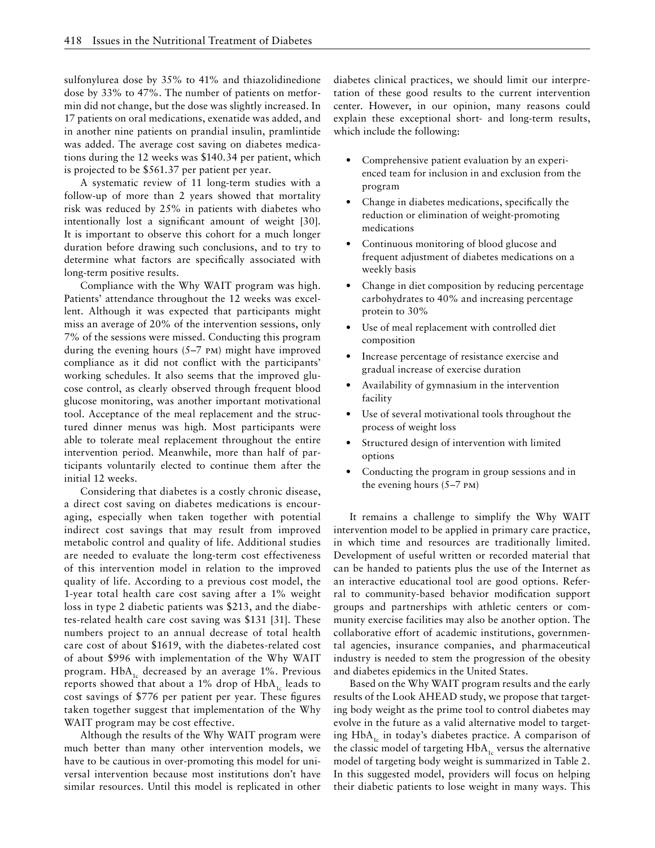sulfonylurea dose by 35% to 41% and thiazolidinedione dose by 33% to 47%. The number of patients on metformin did not change, but the dose was slightly increased. In 17 patients on oral medications, exenatide was added, and in another nine patients on prandial insulin, pramlintide was added. The average cost saving on diabetes medications during the 12 weeks was \$140.34 per patient, which is projected to be \$561.37 per patient per year.

A systematic review of 11 long-term studies with a follow-up of more than 2 years showed that mortality risk was reduced by 25% in patients with diabetes who intentionally lost a significant amount of weight [30]. It is important to observe this cohort for a much longer duration before drawing such conclusions, and to try to determine what factors are specifically associated with long-term positive results.

Compliance with the Why WAIT program was high. Patients' attendance throughout the 12 weeks was excellent. Although it was expected that participants might miss an average of 20% of the intervention sessions, only 7% of the sessions were missed. Conducting this program during the evening hours (5–7 pm) might have improved compliance as it did not conflict with the participants' working schedules. It also seems that the improved glucose control, as clearly observed through frequent blood glucose monitoring, was another important motivational tool. Acceptance of the meal replacement and the structured dinner menus was high. Most participants were able to tolerate meal replacement throughout the entire intervention period. Meanwhile, more than half of participants voluntarily elected to continue them after the initial 12 weeks.

Considering that diabetes is a costly chronic disease, a direct cost saving on diabetes medications is encouraging, especially when taken together with potential indirect cost savings that may result from improved metabolic control and quality of life. Additional studies are needed to evaluate the long-term cost effectiveness of this intervention model in relation to the improved quality of life. According to a previous cost model, the 1-year total health care cost saving after a 1% weight loss in type 2 diabetic patients was \$213, and the diabetes-related health care cost saving was \$131 [31]. These numbers project to an annual decrease of total health care cost of about \$1619, with the diabetes-related cost of about \$996 with implementation of the Why WAIT program.  $HbA_{1c}$  decreased by an average 1%. Previous reports showed that about a 1% drop of  $HbA<sub>1c</sub>$  leads to cost savings of \$776 per patient per year. These figures taken together suggest that implementation of the Why WAIT program may be cost effective.

Although the results of the Why WAIT program were much better than many other intervention models, we have to be cautious in over-promoting this model for universal intervention because most institutions don't have similar resources. Until this model is replicated in other diabetes clinical practices, we should limit our interpretation of these good results to the current intervention center. However, in our opinion, many reasons could explain these exceptional short- and long-term results, which include the following:

- Comprehensive patient evaluation by an experienced team for inclusion in and exclusion from the program
- Change in diabetes medications, specifically the reduction or elimination of weight-promoting medications
- Continuous monitoring of blood glucose and frequent adjustment of diabetes medications on a weekly basis
- Change in diet composition by reducing percentage carbohydrates to 40% and increasing percentage protein to 30%
- Use of meal replacement with controlled diet composition
- Increase percentage of resistance exercise and gradual increase of exercise duration
- Availability of gymnasium in the intervention facility
- Use of several motivational tools throughout the process of weight loss
- Structured design of intervention with limited options
- Conducting the program in group sessions and in the evening hours (5–7 pm)

It remains a challenge to simplify the Why WAIT intervention model to be applied in primary care practice, in which time and resources are traditionally limited. Development of useful written or recorded material that can be handed to patients plus the use of the Internet as an interactive educational tool are good options. Referral to community-based behavior modification support groups and partnerships with athletic centers or community exercise facilities may also be another option. The collaborative effort of academic institutions, governmental agencies, insurance companies, and pharmaceutical industry is needed to stem the progression of the obesity and diabetes epidemics in the United States.

Based on the Why WAIT program results and the early results of the Look AHEAD study, we propose that targeting body weight as the prime tool to control diabetes may evolve in the future as a valid alternative model to targeting  $HbA_{1c}$  in today's diabetes practice. A comparison of the classic model of targeting  $HbA<sub>1c</sub>$  versus the alternative model of targeting body weight is summarized in Table 2. In this suggested model, providers will focus on helping their diabetic patients to lose weight in many ways. This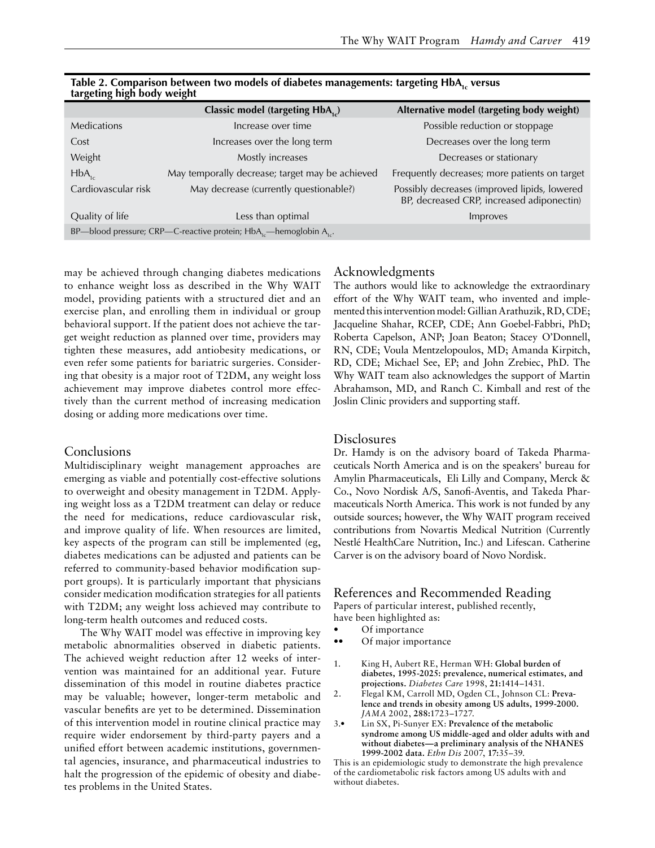|                                                                              | Classic model (targeting HbA <sub>1c</sub> )    | Alternative model (targeting body weight)                                                 |  |  |
|------------------------------------------------------------------------------|-------------------------------------------------|-------------------------------------------------------------------------------------------|--|--|
| <b>Medications</b>                                                           | Increase over time                              | Possible reduction or stoppage                                                            |  |  |
| Cost                                                                         | Increases over the long term                    | Decreases over the long term                                                              |  |  |
| Weight                                                                       | Mostly increases                                | Decreases or stationary                                                                   |  |  |
| $HbA_{1c}$                                                                   | May temporally decrease; target may be achieved | Frequently decreases; more patients on target                                             |  |  |
| Cardiovascular risk                                                          | May decrease (currently questionable?)          | Possibly decreases (improved lipids, lowered<br>BP, decreased CRP, increased adiponectin) |  |  |
| Quality of life                                                              | Less than optimal                               | Improves                                                                                  |  |  |
| BP—blood pressure; CRP—C-reactive protein; $HbA_{1c}$ —hemoglobin $A_{1c}$ . |                                                 |                                                                                           |  |  |

| Table 2. Comparison between two models of diabetes managements: targeting HbA, versus |  |  |
|---------------------------------------------------------------------------------------|--|--|
| targeting high body weight                                                            |  |  |

may be achieved through changing diabetes medications to enhance weight loss as described in the Why WAIT model, providing patients with a structured diet and an exercise plan, and enrolling them in individual or group behavioral support. If the patient does not achieve the target weight reduction as planned over time, providers may tighten these measures, add antiobesity medications, or even refer some patients for bariatric surgeries. Considering that obesity is a major root of T2DM, any weight loss achievement may improve diabetes control more effectively than the current method of increasing medication dosing or adding more medications over time.

## Conclusions

Multidisciplinary weight management approaches are emerging as viable and potentially cost-effective solutions to overweight and obesity management in T2DM. Applying weight loss as a T2DM treatment can delay or reduce the need for medications, reduce cardiovascular risk, and improve quality of life. When resources are limited, key aspects of the program can still be implemented (eg, diabetes medications can be adjusted and patients can be referred to community-based behavior modification support groups). It is particularly important that physicians consider medication modification strategies for all patients with T2DM; any weight loss achieved may contribute to long-term health outcomes and reduced costs.

The Why WAIT model was effective in improving key metabolic abnormalities observed in diabetic patients. The achieved weight reduction after 12 weeks of intervention was maintained for an additional year. Future dissemination of this model in routine diabetes practice may be valuable; however, longer-term metabolic and vascular benefits are yet to be determined. Dissemination of this intervention model in routine clinical practice may require wider endorsement by third-party payers and a unified effort between academic institutions, governmental agencies, insurance, and pharmaceutical industries to halt the progression of the epidemic of obesity and diabetes problems in the United States.

## Acknowledgments

The authors would like to acknowledge the extraordinary effort of the Why WAIT team, who invented and implemented this intervention model: Gillian Arathuzik, RD, CDE; Jacqueline Shahar, RCEP, CDE; Ann Goebel-Fabbri, PhD; Roberta Capelson, ANP; Joan Beaton; Stacey O'Donnell, RN, CDE; Voula Mentzelopoulos, MD; Amanda Kirpitch, RD, CDE; Michael See, EP; and John Zrebiec, PhD. The Why WAIT team also acknowledges the support of Martin Abrahamson, MD, and Ranch C. Kimball and rest of the Joslin Clinic providers and supporting staff.

## Disclosures

Dr. Hamdy is on the advisory board of Takeda Pharmaceuticals North America and is on the speakers' bureau for Amylin Pharmaceuticals, Eli Lilly and Company, Merck & Co., Novo Nordisk A/S, Sanofi-Aventis, and Takeda Pharmaceuticals North America. This work is not funded by any outside sources; however, the Why WAIT program received contributions from Novartis Medical Nutrition (Currently Nestlé HealthCare Nutrition, Inc.) and Lifescan. Catherine Carver is on the advisory board of Novo Nordisk.

## References and Recommended Reading

Papers of particular interest, published recently,

- have been highlighted as: Of importance
- Of major importance
- 1. King H, Aubert RE, Herman WH: **Global burden of diabetes, 1995-2025: prevalence, numerical estimates, and projections.** *Diabetes Care* 1998, **21:**1414–1431.
- 2. Flegal KM, Carroll MD, Ogden CL, Johnson CL: **Prevalence and trends in obesity among US adults, 1999-2000.**  *JAMA* 2002, **288:**1723–1727.
- 3.• Lin SX, Pi-Sunyer EX: **Prevalence of the metabolic syndrome among US middle-aged and older adults with and without diabetes—a preliminary analysis of the NHANES 1999-2002 data.** *Ethn Dis* 2007, **17:**35–39.

This is an epidemiologic study to demonstrate the high prevalence of the cardiometabolic risk factors among US adults with and without diabetes.